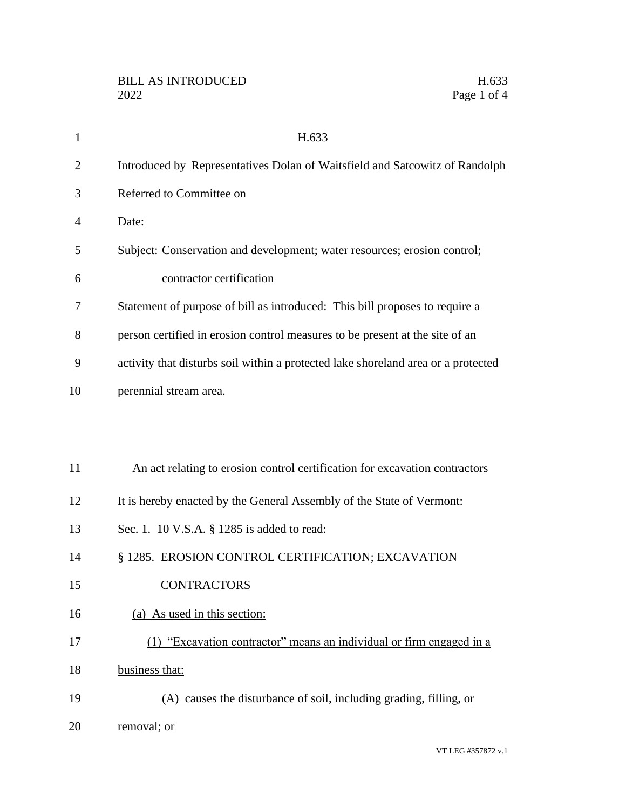| $\mathbf{1}$   | H.633                                                                             |
|----------------|-----------------------------------------------------------------------------------|
| $\overline{2}$ | Introduced by Representatives Dolan of Waitsfield and Satcowitz of Randolph       |
| 3              | Referred to Committee on                                                          |
| 4              | Date:                                                                             |
| 5              | Subject: Conservation and development; water resources; erosion control;          |
| 6              | contractor certification                                                          |
| 7              | Statement of purpose of bill as introduced: This bill proposes to require a       |
| 8              | person certified in erosion control measures to be present at the site of an      |
| 9              | activity that disturbs soil within a protected lake shoreland area or a protected |
| 10             | perennial stream area.                                                            |
|                |                                                                                   |
|                |                                                                                   |
| 11             | An act relating to erosion control certification for excavation contractors       |
| 12             | It is hereby enacted by the General Assembly of the State of Vermont:             |
| 13             | Sec. 1. 10 V.S.A. § 1285 is added to read:                                        |
| 14             | § 1285. EROSION CONTROL CERTIFICATION; EXCAVATION                                 |
| 15             | <b>CONTRACTORS</b>                                                                |
| 16             | (a) As used in this section:                                                      |
| 17             | (1) "Excavation contractor" means an individual or firm engaged in a              |
| 18             | business that:                                                                    |
| 19             | (A) causes the disturbance of soil, including grading, filling, or                |
| 20             | removal; or                                                                       |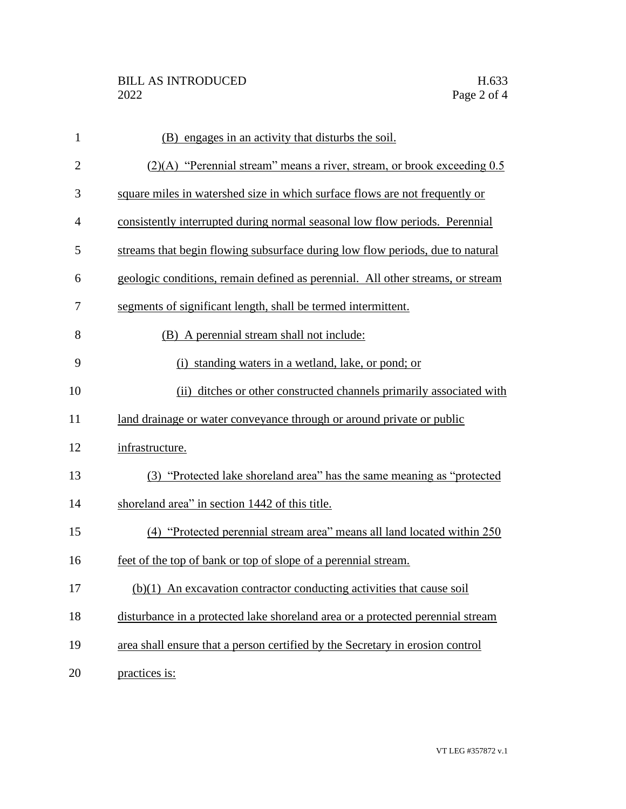| $\mathbf{1}$   | (B) engages in an activity that disturbs the soil.                             |
|----------------|--------------------------------------------------------------------------------|
| $\overline{2}$ | $(2)(A)$ "Perennial stream" means a river, stream, or brook exceeding 0.5      |
| 3              | square miles in watershed size in which surface flows are not frequently or    |
| 4              | consistently interrupted during normal seasonal low flow periods. Perennial    |
| 5              | streams that begin flowing subsurface during low flow periods, due to natural  |
| 6              | geologic conditions, remain defined as perennial. All other streams, or stream |
| 7              | segments of significant length, shall be termed intermittent.                  |
| 8              | (B) A perennial stream shall not include:                                      |
| 9              | (i) standing waters in a wetland, lake, or pond; or                            |
| 10             | (ii) ditches or other constructed channels primarily associated with           |
| 11             | land drainage or water conveyance through or around private or public          |
| 12             | infrastructure.                                                                |
| 13             | (3) "Protected lake shoreland area" has the same meaning as "protected"        |
| 14             | shoreland area" in section 1442 of this title.                                 |
| 15             | (4) "Protected perennial stream area" means all land located within 250        |
| 16             | feet of the top of bank or top of slope of a perennial stream.                 |
| 17             | $(b)(1)$ An excavation contractor conducting activities that cause soil        |
| 18             | disturbance in a protected lake shoreland area or a protected perennial stream |
| 19             | area shall ensure that a person certified by the Secretary in erosion control  |
| 20             | practices is:                                                                  |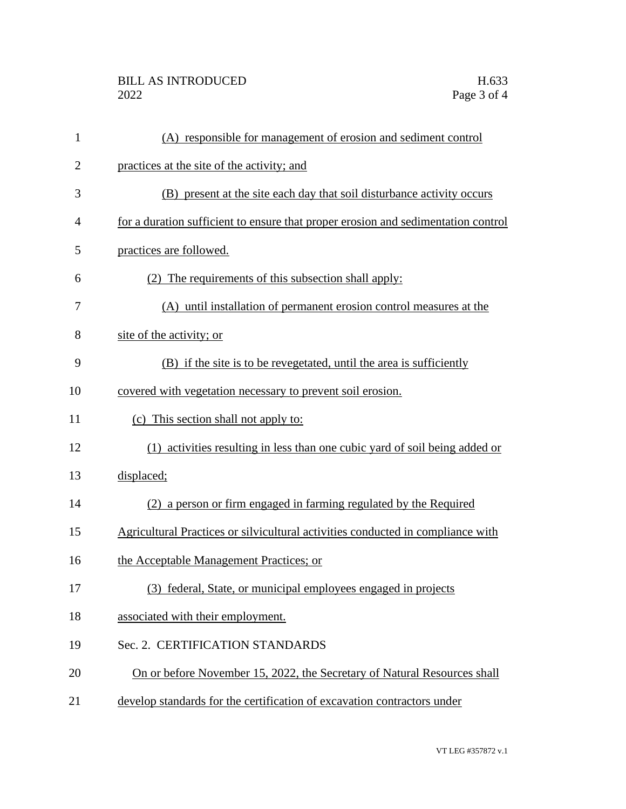| $\mathbf{1}$   | (A) responsible for management of erosion and sediment control                    |
|----------------|-----------------------------------------------------------------------------------|
| $\overline{2}$ | practices at the site of the activity; and                                        |
| 3              | (B) present at the site each day that soil disturbance activity occurs            |
| 4              | for a duration sufficient to ensure that proper erosion and sedimentation control |
| 5              | practices are followed.                                                           |
| 6              | The requirements of this subsection shall apply:                                  |
| 7              | (A) until installation of permanent erosion control measures at the               |
| 8              | site of the activity; or                                                          |
| 9              | (B) if the site is to be revegetated, until the area is sufficiently              |
| 10             | covered with vegetation necessary to prevent soil erosion.                        |
| 11             | (c) This section shall not apply to:                                              |
| 12             | (1) activities resulting in less than one cubic yard of soil being added or       |
| 13             | displaced;                                                                        |
| 14             | (2) a person or firm engaged in farming regulated by the Required                 |
| 15             | Agricultural Practices or silvicultural activities conducted in compliance with   |
| 16             | the Acceptable Management Practices; or                                           |
| 17             | (3) federal, State, or municipal employees engaged in projects                    |
| 18             | associated with their employment.                                                 |
| 19             | Sec. 2. CERTIFICATION STANDARDS                                                   |
| 20             | On or before November 15, 2022, the Secretary of Natural Resources shall          |
| 21             | develop standards for the certification of excavation contractors under           |